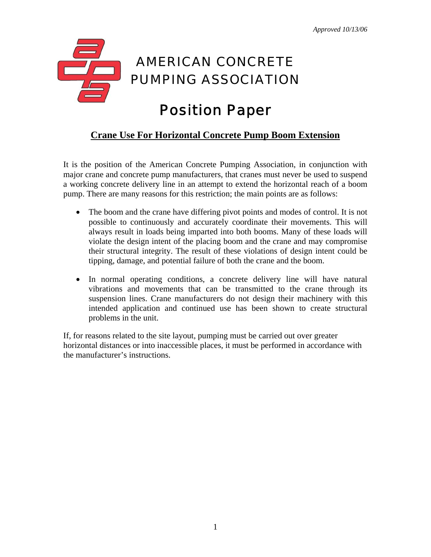

## **Crane Use For Horizontal Concrete Pump Boom Extension**

It is the position of the American Concrete Pumping Association, in conjunction with major crane and concrete pump manufacturers, that cranes must never be used to suspend a working concrete delivery line in an attempt to extend the horizontal reach of a boom pump. There are many reasons for this restriction; the main points are as follows:

- The boom and the crane have differing pivot points and modes of control. It is not possible to continuously and accurately coordinate their movements. This will always result in loads being imparted into both booms. Many of these loads will violate the design intent of the placing boom and the crane and may compromise their structural integrity. The result of these violations of design intent could be tipping, damage, and potential failure of both the crane and the boom.
- In normal operating conditions, a concrete delivery line will have natural vibrations and movements that can be transmitted to the crane through its suspension lines. Crane manufacturers do not design their machinery with this intended application and continued use has been shown to create structural problems in the unit.

If, for reasons related to the site layout, pumping must be carried out over greater horizontal distances or into inaccessible places, it must be performed in accordance with the manufacturer's instructions.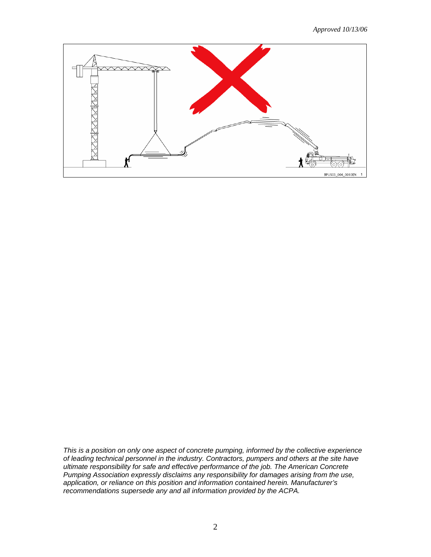*Approved 10/13/06* 



*This is a position on only one aspect of concrete pumping, informed by the collective experience of leading technical personnel in the industry. Contractors, pumpers and others at the site have ultimate responsibility for safe and effective performance of the job. The American Concrete Pumping Association expressly disclaims any responsibility for damages arising from the use, application, or reliance on this position and information contained herein. Manufacturer's recommendations supersede any and all information provided by the ACPA.*